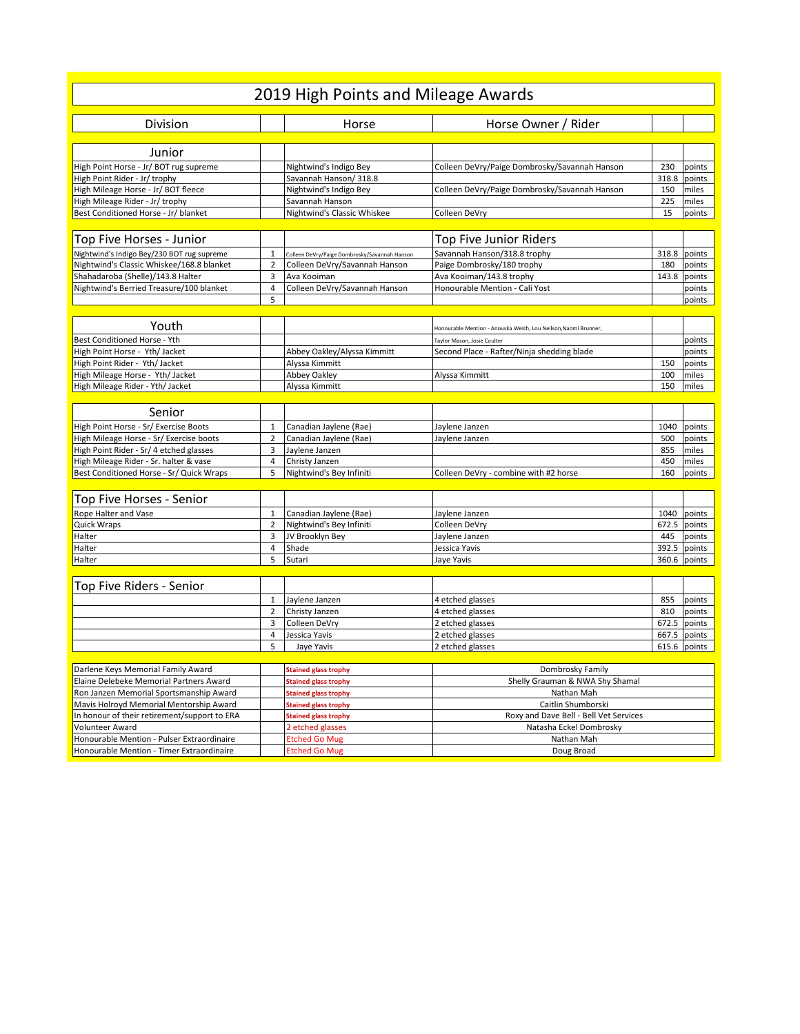|                                                                               |                | 2019 High Points and Mileage Awards                        |                                                                 |                                                               |                 |
|-------------------------------------------------------------------------------|----------------|------------------------------------------------------------|-----------------------------------------------------------------|---------------------------------------------------------------|-----------------|
| <b>Division</b>                                                               |                | Horse                                                      | Horse Owner / Rider                                             |                                                               |                 |
|                                                                               |                |                                                            |                                                                 |                                                               |                 |
| Junior                                                                        |                |                                                            |                                                                 |                                                               |                 |
| High Point Horse - Jr/ BOT rug supreme                                        |                | Nightwind's Indigo Bey                                     | Colleen DeVry/Paige Dombrosky/Savannah Hanson                   | 230                                                           | points          |
| High Point Rider - Jr/ trophy                                                 |                | Savannah Hanson/ 318.8                                     | 318.8                                                           |                                                               | points          |
| High Mileage Horse - Jr/ BOT fleece                                           |                | Nightwind's Indigo Bey                                     |                                                                 | Colleen DeVry/Paige Dombrosky/Savannah Hanson<br>150<br>miles |                 |
| High Mileage Rider - Jr/ trophy                                               |                | Savannah Hanson                                            |                                                                 | 225<br>miles                                                  |                 |
| Best Conditioned Horse - Jr/ blanket                                          |                | Nightwind's Classic Whiskee                                | Colleen DeVry                                                   | 15                                                            | points          |
|                                                                               |                |                                                            |                                                                 |                                                               |                 |
| Top Five Horses - Junior                                                      |                |                                                            | Top Five Junior Riders                                          |                                                               |                 |
| Nightwind's Indigo Bey/230 BOT rug supreme                                    | $\mathbf{1}$   | Colleen DeVry/Paige Dombrosky/Savannah Hanson              | Savannah Hanson/318.8 trophy                                    | 318.8                                                         | points          |
| Nightwind's Classic Whiskee/168.8 blanket                                     | $\overline{2}$ | Colleen DeVry/Savannah Hanson                              | Paige Dombrosky/180 trophy                                      | 180                                                           | points          |
| Shahadaroba (Shelle)/143.8 Halter                                             | 3              | Ava Kooiman                                                | Ava Kooiman/143.8 trophy                                        | 143.8                                                         | points          |
| Nightwind's Berried Treasure/100 blanket                                      | 4              | Colleen DeVry/Savannah Hanson                              | Honourable Mention - Cali Yost                                  |                                                               | points          |
|                                                                               | 5              |                                                            |                                                                 |                                                               | points          |
| Youth                                                                         |                |                                                            |                                                                 |                                                               |                 |
|                                                                               |                |                                                            | Honourable Mention - Anouska Welch, Lou Neilson, Naomi Brunner, |                                                               |                 |
| Best Conditioned Horse - Yth                                                  |                |                                                            | Taylor Mason, Josie Coulter                                     |                                                               | points          |
| High Point Horse - Yth/ Jacket                                                |                | Abbey Oakley/Alyssa Kimmitt                                | Second Place - Rafter/Ninja shedding blade                      |                                                               | points          |
| High Point Rider - Yth/ Jacket                                                |                | Alyssa Kimmitt                                             |                                                                 | 150<br>100                                                    | points<br>miles |
| High Mileage Horse - Yth/ Jacket<br>High Mileage Rider - Yth/ Jacket          |                | Abbey Oakley<br>Alyssa Kimmitt                             | Alyssa Kimmitt                                                  | 150                                                           | miles           |
|                                                                               |                |                                                            |                                                                 |                                                               |                 |
| Senior                                                                        |                |                                                            |                                                                 |                                                               |                 |
| High Point Horse - Sr/ Exercise Boots                                         | 1              | Canadian Jaylene (Rae)                                     | Jaylene Janzen                                                  | 1040                                                          | points          |
| High Mileage Horse - Sr/ Exercise boots                                       | $\overline{2}$ | Canadian Jaylene (Rae)                                     | Jaylene Janzen                                                  | 500                                                           | points          |
| High Point Rider - Sr/ 4 etched glasses                                       | 3              | Jaylene Janzen                                             |                                                                 | 855                                                           | miles           |
| High Mileage Rider - Sr. halter & vase                                        | $\overline{4}$ | Christy Janzen                                             |                                                                 | 450                                                           | miles           |
| Best Conditioned Horse - Sr/ Quick Wraps                                      | 5              | Nightwind's Bey Infiniti                                   | Colleen DeVry - combine with #2 horse                           | 160                                                           | points          |
|                                                                               |                |                                                            |                                                                 |                                                               |                 |
| Top Five Horses - Senior                                                      |                |                                                            |                                                                 |                                                               |                 |
| Rope Halter and Vase                                                          | $\mathbf{1}$   | Canadian Jaylene (Rae)                                     | Jaylene Janzen                                                  | 1040                                                          | points          |
| Quick Wraps                                                                   | 2              | Nightwind's Bey Infiniti                                   | Colleen DeVry<br>672.5                                          |                                                               | points          |
| Halter                                                                        | 3              | JV Brooklyn Bey                                            | Jaylene Janzen                                                  | 445<br>points                                                 |                 |
| Halter                                                                        | $\overline{4}$ | Shade                                                      | 392.5<br>Jessica Yavis                                          |                                                               | points          |
| Halter                                                                        | 5              | Sutari                                                     | 360.6 points<br>Jaye Yavis                                      |                                                               |                 |
|                                                                               |                |                                                            |                                                                 |                                                               |                 |
| Top Five Riders - Senior                                                      |                |                                                            |                                                                 |                                                               |                 |
|                                                                               | $\mathbf{1}$   | Jaylene Janzen                                             | 4 etched glasses                                                | 855                                                           | points          |
|                                                                               | $\overline{2}$ | Christy Janzen                                             | 4 etched glasses                                                | 810                                                           | points          |
|                                                                               | 3              | Colleen DeVrv                                              | 2 etched glasses                                                | 672.5                                                         | points          |
|                                                                               | 4              | Jessica Yavis                                              | 2 etched glasses                                                | 667.5                                                         | points          |
|                                                                               | 5              | Jaye Yavis                                                 | 2 etched glasses                                                | 615.6 points                                                  |                 |
|                                                                               |                |                                                            |                                                                 |                                                               |                 |
| Darlene Keys Memorial Family Award<br>Elaine Delebeke Memorial Partners Award |                | <b>Stained glass trophy</b>                                | Dombrosky Family                                                |                                                               |                 |
| Ron Janzen Memorial Sportsmanship Award                                       |                | <b>Stained glass trophy</b><br><b>Stained glass trophy</b> | Shelly Grauman & NWA Shy Shamal<br>Nathan Mah                   |                                                               |                 |
| Mavis Holroyd Memorial Mentorship Award                                       |                | <b>Stained glass trophy</b>                                | Caitlin Shumborski                                              |                                                               |                 |
| In honour of their retirement/support to ERA                                  |                | <b>Stained glass trophy</b>                                | Roxy and Dave Bell - Bell Vet Services                          |                                                               |                 |
| Volunteer Award                                                               |                | 2 etched glasses                                           | Natasha Eckel Dombrosky                                         |                                                               |                 |
| Honourable Mention - Pulser Extraordinaire                                    |                | <b>Etched Go Mug</b>                                       | Nathan Mah                                                      |                                                               |                 |
| Honourable Mention - Timer Extraordinaire                                     |                | <b>Etched Go Mug</b>                                       | Doug Broad                                                      |                                                               |                 |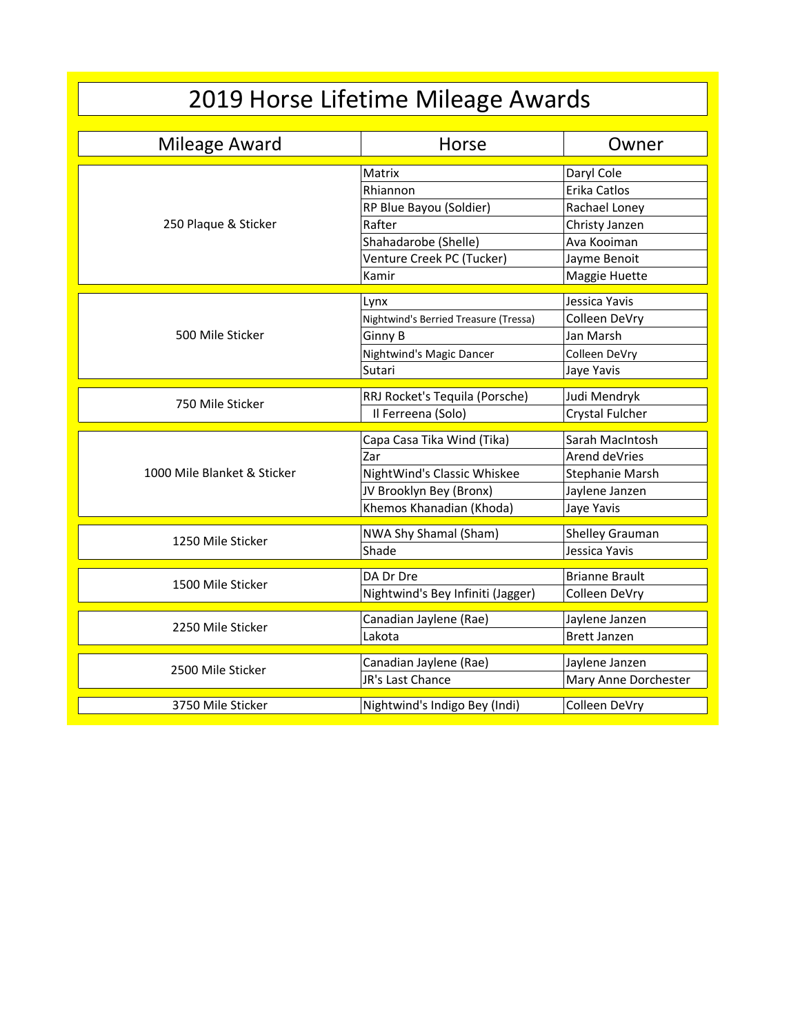## 2019 Horse Lifetime Mileage Awards

| Mileage Award               | Horse                                 | Owner                            |
|-----------------------------|---------------------------------------|----------------------------------|
|                             | Matrix                                | Daryl Cole                       |
|                             | Rhiannon                              | Erika Catlos                     |
|                             | RP Blue Bayou (Soldier)               | Rachael Loney                    |
| 250 Plaque & Sticker        | Rafter                                | Christy Janzen                   |
|                             | Shahadarobe (Shelle)                  | Ava Kooiman                      |
|                             | Venture Creek PC (Tucker)             | Jayme Benoit                     |
|                             | Kamir                                 | Maggie Huette                    |
|                             | Lynx                                  | Jessica Yavis                    |
|                             | Nightwind's Berried Treasure (Tressa) | Colleen DeVry                    |
| 500 Mile Sticker            | Ginny B                               | Jan Marsh                        |
|                             | Nightwind's Magic Dancer              | Colleen DeVry                    |
|                             | Sutari                                | Jaye Yavis                       |
|                             |                                       |                                  |
| 750 Mile Sticker            | RRJ Rocket's Tequila (Porsche)        | Judi Mendryk                     |
|                             | Il Ferreena (Solo)                    | Crystal Fulcher                  |
|                             | Capa Casa Tika Wind (Tika)            | Sarah MacIntosh                  |
|                             | Zar                                   | Arend deVries                    |
| 1000 Mile Blanket & Sticker | NightWind's Classic Whiskee           | Stephanie Marsh                  |
|                             | JV Brooklyn Bey (Bronx)               | Jaylene Janzen                   |
|                             | Khemos Khanadian (Khoda)              | Jaye Yavis                       |
|                             |                                       |                                  |
| 1250 Mile Sticker           | NWA Shy Shamal (Sham)                 | Shelley Grauman<br>Jessica Yavis |
|                             | Shade                                 |                                  |
| 1500 Mile Sticker           | DA Dr Dre                             | <b>Brianne Brault</b>            |
|                             | Nightwind's Bey Infiniti (Jagger)     | Colleen DeVry                    |
|                             | Canadian Jaylene (Rae)                | Jaylene Janzen                   |
| 2250 Mile Sticker           | Lakota                                | <b>Brett Janzen</b>              |
|                             |                                       |                                  |
| 2500 Mile Sticker           | Canadian Jaylene (Rae)                | Jaylene Janzen                   |
|                             | JR's Last Chance                      | Mary Anne Dorchester             |
| 3750 Mile Sticker           | Nightwind's Indigo Bey (Indi)         | Colleen DeVry                    |
|                             |                                       |                                  |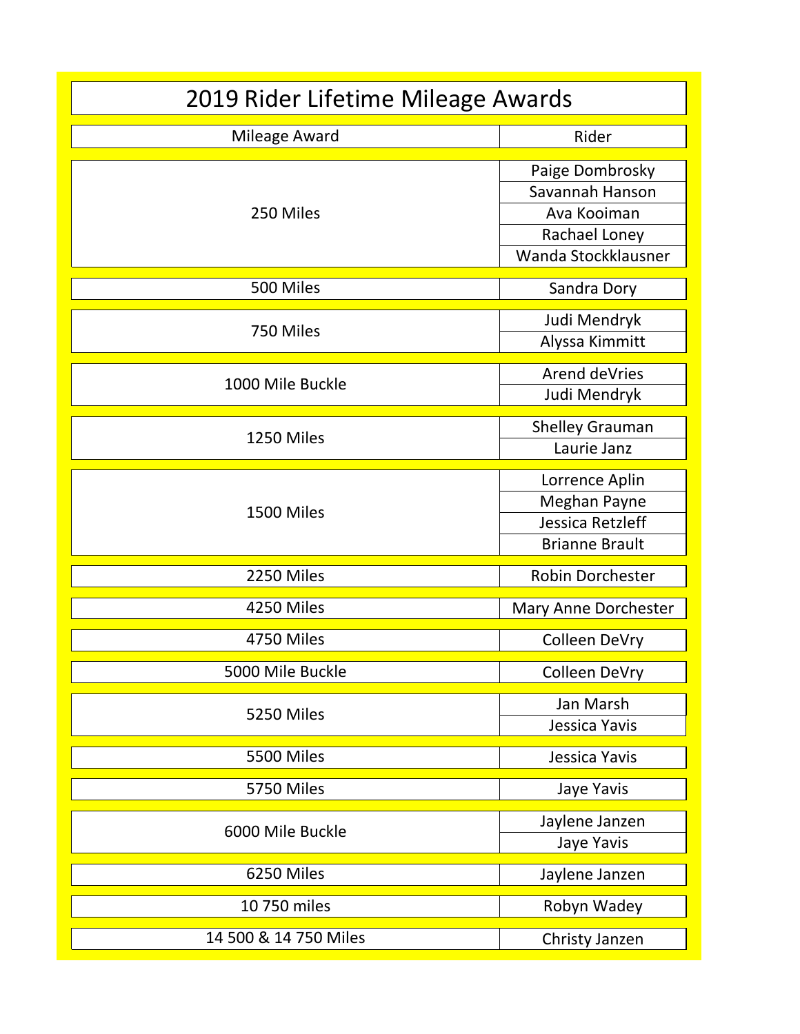| 2019 Rider Lifetime Mileage Awards |                                                                                           |  |  |
|------------------------------------|-------------------------------------------------------------------------------------------|--|--|
| Mileage Award                      | Rider                                                                                     |  |  |
| 250 Miles                          | Paige Dombrosky<br>Savannah Hanson<br>Ava Kooiman<br>Rachael Loney<br>Wanda Stockklausner |  |  |
| 500 Miles                          | Sandra Dory                                                                               |  |  |
| 750 Miles                          | Judi Mendryk<br>Alyssa Kimmitt                                                            |  |  |
| 1000 Mile Buckle                   | Arend deVries<br>Judi Mendryk                                                             |  |  |
| 1250 Miles                         | <b>Shelley Grauman</b><br>Laurie Janz                                                     |  |  |
| 1500 Miles                         | Lorrence Aplin<br>Meghan Payne<br>Jessica Retzleff<br><b>Brianne Brault</b>               |  |  |
| 2250 Miles                         | <b>Robin Dorchester</b>                                                                   |  |  |
| 4250 Miles                         | Mary Anne Dorchester                                                                      |  |  |
| 4750 Miles                         | Colleen DeVry                                                                             |  |  |
| 5000 Mile Buckle                   | Colleen DeVry                                                                             |  |  |
| 5250 Miles                         | Jan Marsh<br>Jessica Yavis                                                                |  |  |
| 5500 Miles                         | Jessica Yavis                                                                             |  |  |
| <b>5750 Miles</b>                  | Jaye Yavis                                                                                |  |  |
| 6000 Mile Buckle                   | Jaylene Janzen<br>Jaye Yavis                                                              |  |  |
| 6250 Miles                         | Jaylene Janzen                                                                            |  |  |
| 10 750 miles                       | Robyn Wadey                                                                               |  |  |
| 14 500 & 14 750 Miles              | Christy Janzen                                                                            |  |  |